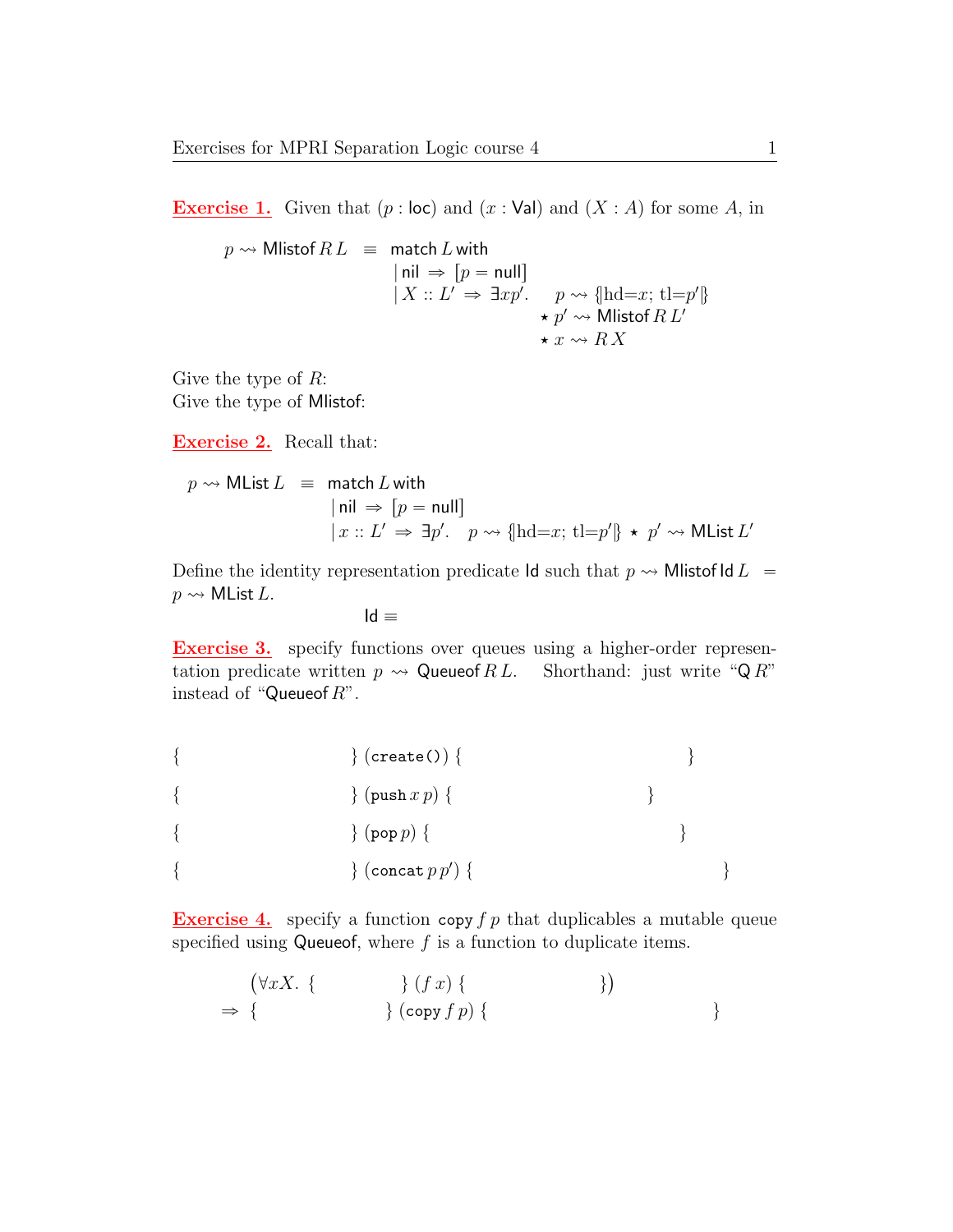**Exercise 1.** Given that  $(p : \text{loc})$  and  $(x : \text{Val})$  and  $(X : A)$  for some A, in

$$
p \rightsquigarrow \text{Mlistof } R \ L \equiv \text{ match } L \text{ with}
$$
\n
$$
\begin{array}{rcl}\n\text{inil} &\Rightarrow [p = \text{null}]\n\\
|X :: L' \Rightarrow \exists x p'. & p \rightsquigarrow \{\text{hd}=x; \ \text{tl}=p'\} \\
&\star p' \rightsquigarrow \text{Mlistof } R \ L'\n\\
&\star x \rightsquigarrow R \ X\n\end{array}
$$

Give the type of  $R$ : Give the type of Mlistof:

**Exercise 2.** Recall that:

$$
p \rightsquigarrow \text{MList } L \equiv \text{ match } L \text{ with}
$$
\n
$$
\begin{array}{rcl} |\text{nil } \Rightarrow [p = \text{null}] \\ |x :: L' \Rightarrow \exists p'. \quad p \rightsquigarrow \{\text{hd}=x; \ \text{tl}=p'\} \star p' \rightsquigarrow \text{MList } L' \end{array}
$$

Define the identity representation predicate Id such that  $p \rightarrow$  Mlistof Id  $L =$  $p \rightsquigarrow$  MList L.

$$
\mathsf{Id} \equiv
$$

**Exercise 3.** specify functions over queues using a higher-order representation predicate written  $p \rightsquigarrow Q$ ueueof  $RL$ . Shorthand: just write "QR" instead of "Queueof  $R$ ".

| $\}$ (create()) {       |  |  |
|-------------------------|--|--|
| $\{$ (push $x p$ ) {    |  |  |
| $\}$ (pop $p$ ) {       |  |  |
| $\}$ (concat $p p'$ ) { |  |  |

**Exercise 4.** specify a function copy  $f p$  that duplicables a mutable queue specified using Queueof, where  $f$  is a function to duplicate items.

$$
(\forall x X. \{ \qquad \} (f x) \{ \qquad \qquad \})
$$
  
\n
$$
\Rightarrow \{ \qquad \qquad \} (copy f p) \{ \qquad \qquad \})
$$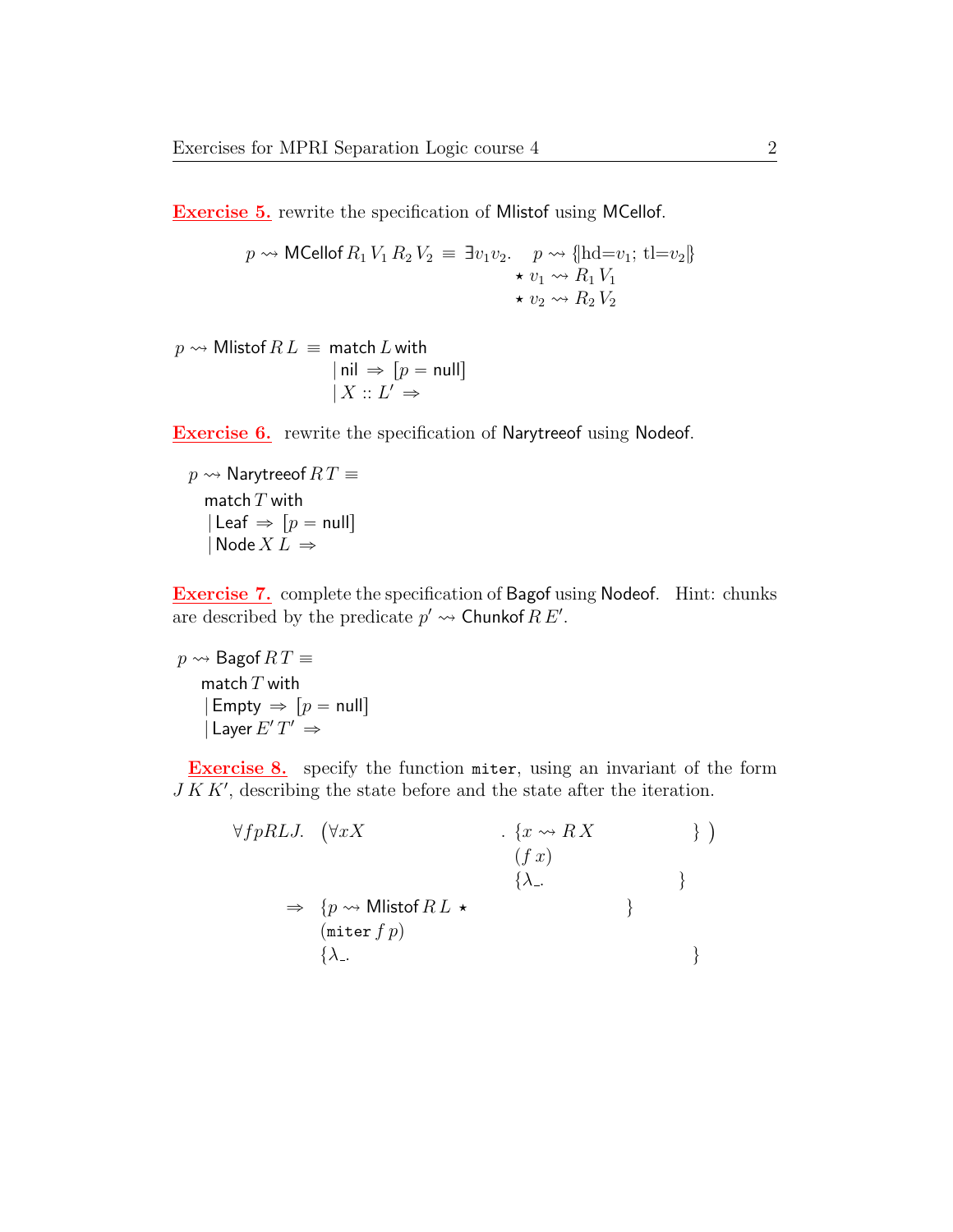**Exercise 5.** rewrite the specification of Mlistof using MCellof.

$$
p \rightsquigarrow \text{MCellof } R_1 V_1 R_2 V_2 \equiv \exists v_1 v_2. \quad p \rightsquigarrow \{\text{hd}=v_1; \text{ tl}=v_2\}
$$

$$
\begin{array}{c} \star v_1 \rightsquigarrow R_1 V_1 \\ \star v_2 \rightsquigarrow R_2 V_2 \end{array}
$$

 $p \rightsquigarrow$  Mlistof  $RL \equiv$  match L with  $| \text{nil} \Rightarrow [p = \text{null}]$  $| X :: L' \Rightarrow$ 

**Exercise 6.** rewrite the specification of Narytreeof using Nodeof.

 $p \rightsquigarrow$  Narytreeof  $RT \equiv$ match  $T$  with  $\vert$  Leaf  $\Rightarrow$   $\vert p = \text{null} \vert$  $\big|\operatorname{\mathsf{Node}}\nolimits X L\big|\to$ 

Exercise 7. complete the specification of Bagof using Nodeof. Hint: chunks are described by the predicate  $p' \rightarrow$  Chunkof  $R E'$ .

 $p \rightsquigarrow$  Bagof  $RT \equiv$ match  $T$  with  $|$  Empty  $\Rightarrow$   $[p = null]$  $|$  Layer  $E'$   $T' \Rightarrow$ 

**Exercise 8.** specify the function miter, using an invariant of the form  $J K K'$ , describing the state before and the state after the iteration.

$$
\forall f p R L J. \quad (\forall x X \qquad \qquad , \{x \leadsto R X \qquad \qquad \})
$$
\n
$$
\Rightarrow \{p \leadsto \text{Mlistof } R L \star \qquad \qquad \} \}
$$
\n
$$
\Rightarrow \{\text{inter } f p\}
$$
\n
$$
\{\lambda_{-} \qquad \qquad \}
$$
\n
$$
\{\lambda_{-} \qquad \qquad \}
$$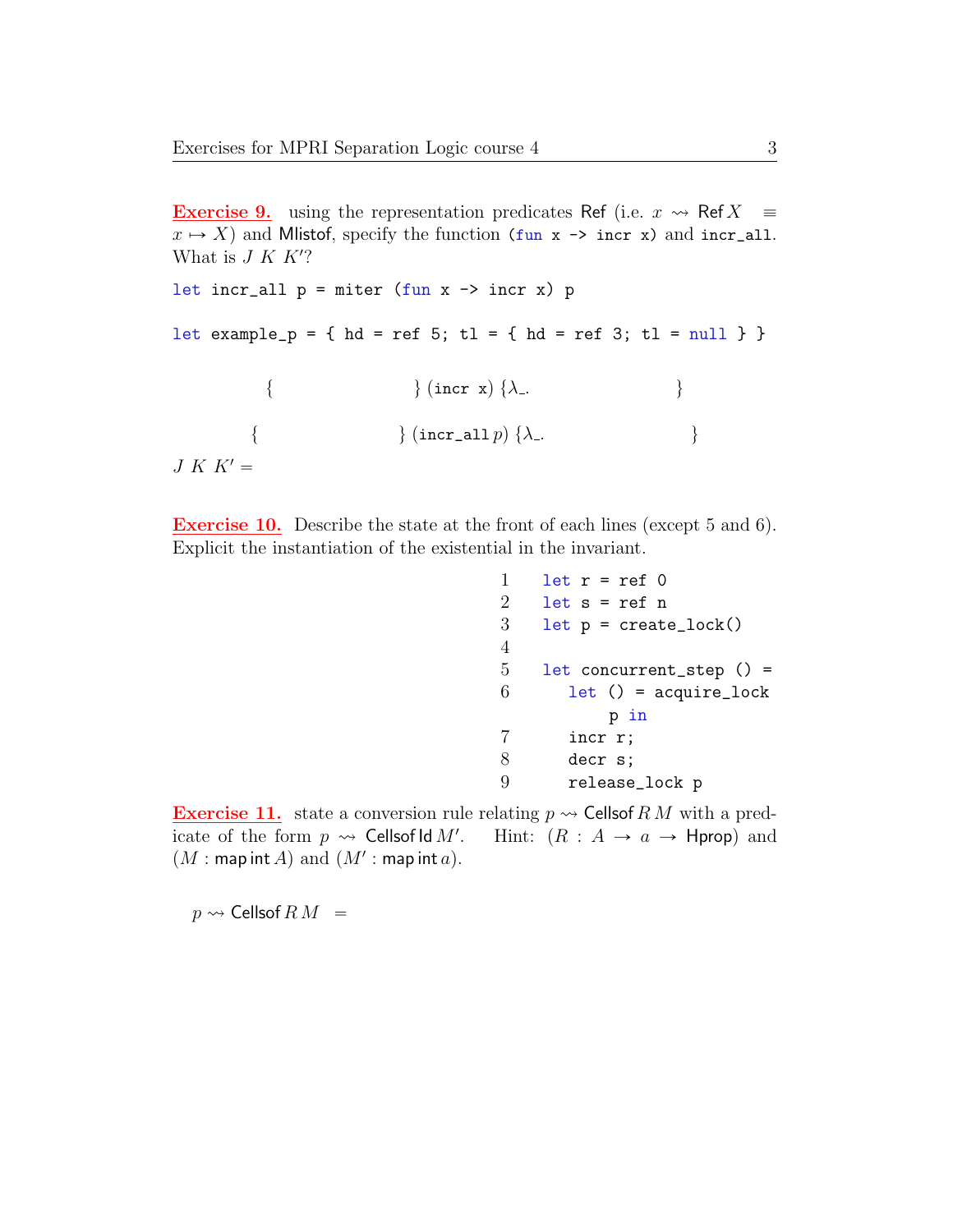**Exercise 9.** using the representation predicates Ref (i.e.  $x \rightarrow R$  Ref  $X \equiv$  $x \mapsto X$  and Mlistof, specify the function (fun x  $\rightarrow$  incr x) and incr\_all. What is  $J K K$ ? let incr\_all  $p =$  miter (fun  $x \rightarrow$  incr  $x$ )  $p$ let example\_p = { hd = ref 5; tl = { hd = ref 3; tl = null } } {  $\{ \text{incr x} \}$  { $\lambda$ ... {  $\{ \text{incr\_all } p \} \{ \lambda_-. \}$  $J K K' =$ 

Exercise 10. Describe the state at the front of each lines (except 5 and 6). Explicit the instantiation of the existential in the invariant.

```
1 let r = ref 02 let s = ref n3 let p = \text{create\_lock}()4
5 let concurrent_step () =
6 let () = acquire\_lockp in
7 incr r;
8 decr s;
9 release_lock p
```
**Exercise 11.** state a conversion rule relating  $p \rightsquigarrow$  Cellsof RM with a predicate of the form  $p \rightsquigarrow$  Cellsof Id M'. Hint:  $(R : A \rightarrow a \rightarrow$  Hprop) and  $(M : \textsf{map int}\,A)$  and  $(M' : \textsf{map int}\,a)$ .

 $p \rightsquigarrow$  Cellsof  $R M =$